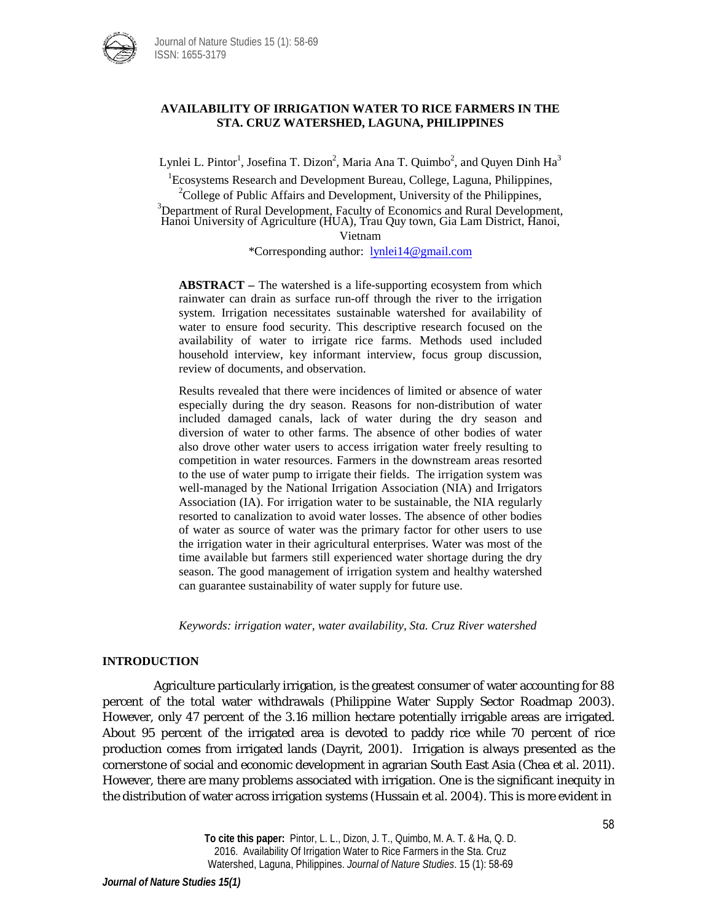

## **AVAILABILITY OF IRRIGATION WATER TO RICE FARMERS IN THE STA. CRUZ WATERSHED, LAGUNA, PHILIPPINES**

Lynlei L. Pintor<sup>1</sup>, Josefina T. Dizon<sup>2</sup>, Maria Ana T. Quimbo<sup>2</sup>, and Quyen Dinh Ha<sup>3</sup>

<sup>1</sup> Ecosystems Research and Development Bureau, College, Laguna, Philippines,  $2^2$ College of Public Affairs and Development, University of the Philippines,

<sup>3</sup>Department of Rural Development, Faculty of Economics and Rural Development, Hanoi University of Agriculture (HUA), Trau Quy town, Gia Lam District, Hanoi, Vietnam

\*Corresponding author: [lynlei14@gmail.com](mailto:lynlei14@gmail.com)

**ABSTRACT –** The watershed is a life-supporting ecosystem from which rainwater can drain as surface run-off through the river to the irrigation system. Irrigation necessitates sustainable watershed for availability of water to ensure food security. This descriptive research focused on the availability of water to irrigate rice farms. Methods used included household interview, key informant interview, focus group discussion, review of documents, and observation.

Results revealed that there were incidences of limited or absence of water especially during the dry season. Reasons for non-distribution of water included damaged canals, lack of water during the dry season and diversion of water to other farms. The absence of other bodies of water also drove other water users to access irrigation water freely resulting to competition in water resources. Farmers in the downstream areas resorted to the use of water pump to irrigate their fields. The irrigation system was well-managed by the National Irrigation Association (NIA) and Irrigators Association (IA). For irrigation water to be sustainable, the NIA regularly resorted to canalization to avoid water losses. The absence of other bodies of water as source of water was the primary factor for other users to use the irrigation water in their agricultural enterprises. Water was most of the time available but farmers still experienced water shortage during the dry season. The good management of irrigation system and healthy watershed can guarantee sustainability of water supply for future use.

*Keywords: irrigation water, water availability, Sta. Cruz River watershed*

# **INTRODUCTION**

Agriculture particularly irrigation, is the greatest consumer of water accounting for 88 percent of the total water withdrawals (Philippine Water Supply Sector Roadmap 2003). However, only 47 percent of the 3.16 million hectare potentially irrigable areas are irrigated. About 95 percent of the irrigated area is devoted to paddy rice while 70 percent of rice production comes from irrigated lands (Dayrit, 2001). Irrigation is always presented as the cornerstone of social and economic development in agrarian South East Asia (Chea et al. 2011). However, there are many problems associated with irrigation. One is the significant inequity in the distribution of water across irrigation systems (Hussain et al. 2004). This is more evident in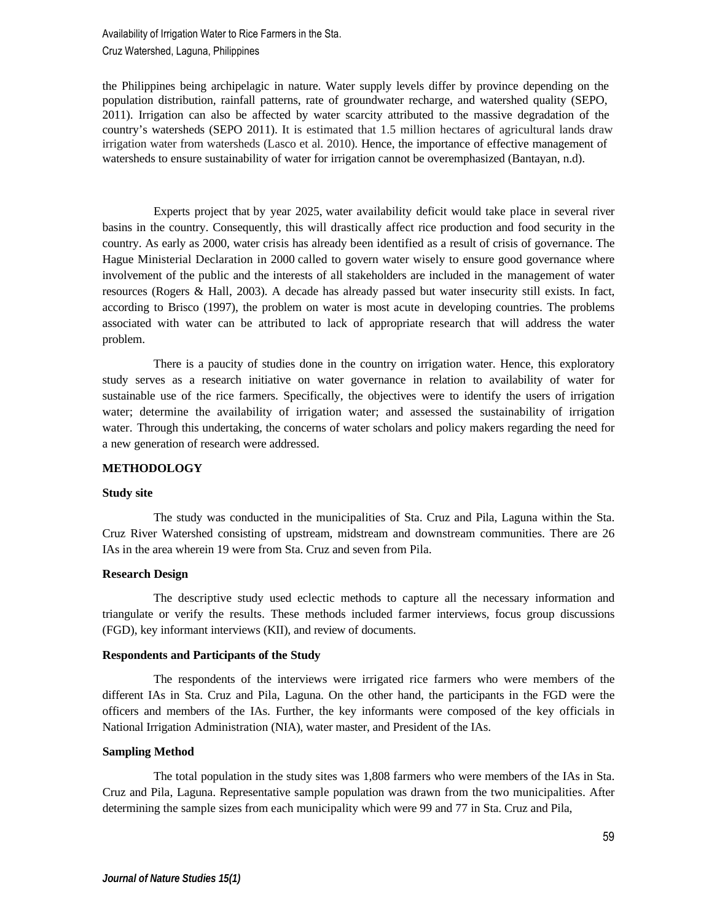Availability of Irrigation Water to Rice Farmers in the Sta. Cruz Watershed, Laguna, Philippines

the Philippines being archipelagic in nature. Water supply levels differ by province depending on the population distribution, rainfall patterns, rate of groundwater recharge, and watershed quality (SEPO, 2011). Irrigation can also be affected by water scarcity attributed to the massive degradation of the country's watersheds (SEPO 2011). It is estimated that 1.5 million hectares of agricultural lands draw irrigation water from watersheds (Lasco et al. 2010). Hence, the importance of effective management of watersheds to ensure sustainability of water for irrigation cannot be overemphasized (Bantayan, n.d).

Experts project that by year 2025, water availability deficit would take place in several river basins in the country. Consequently, this will drastically affect rice production and food security in the country. As early as 2000, water crisis has already been identified as a result of crisis of governance. The Hague Ministerial Declaration in 2000 called to govern water wisely to ensure good governance where involvement of the public and the interests of all stakeholders are included in the management of water resources (Rogers & Hall, 2003). A decade has already passed but water insecurity still exists. In fact, according to Brisco (1997), the problem on water is most acute in developing countries. The problems associated with water can be attributed to lack of appropriate research that will address the water problem.

There is a paucity of studies done in the country on irrigation water. Hence, this exploratory study serves as a research initiative on water governance in relation to availability of water for sustainable use of the rice farmers. Specifically, the objectives were to identify the users of irrigation water; determine the availability of irrigation water; and assessed the sustainability of irrigation water. Through this undertaking, the concerns of water scholars and policy makers regarding the need for a new generation of research were addressed.

### **METHODOLOGY**

#### **Study site**

The study was conducted in the municipalities of Sta. Cruz and Pila, Laguna within the Sta. Cruz River Watershed consisting of upstream, midstream and downstream communities. There are 26 IAs in the area wherein 19 were from Sta. Cruz and seven from Pila.

#### **Research Design**

The descriptive study used eclectic methods to capture all the necessary information and triangulate or verify the results. These methods included farmer interviews, focus group discussions (FGD), key informant interviews (KII), and review of documents.

## **Respondents and Participants of the Study**

The respondents of the interviews were irrigated rice farmers who were members of the different IAs in Sta. Cruz and Pila, Laguna. On the other hand, the participants in the FGD were the officers and members of the IAs. Further, the key informants were composed of the key officials in National Irrigation Administration (NIA), water master, and President of the IAs.

# **Sampling Method**

The total population in the study sites was 1,808 farmers who were members of the IAs in Sta. Cruz and Pila, Laguna. Representative sample population was drawn from the two municipalities. After determining the sample sizes from each municipality which were 99 and 77 in Sta. Cruz and Pila,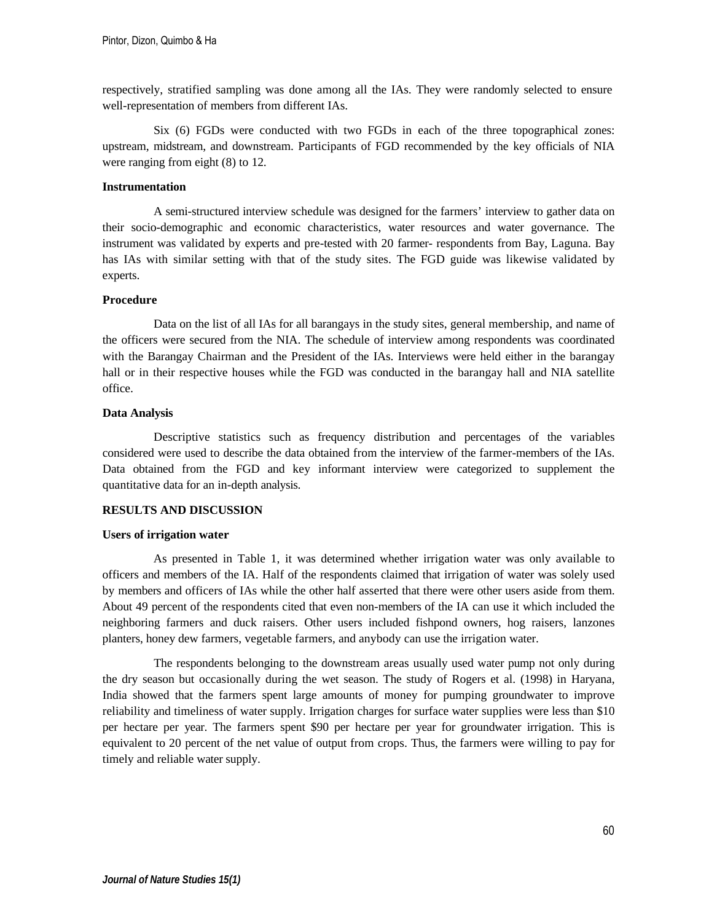respectively, stratified sampling was done among all the IAs. They were randomly selected to ensure well-representation of members from different IAs.

Six (6) FGDs were conducted with two FGDs in each of the three topographical zones: upstream, midstream, and downstream. Participants of FGD recommended by the key officials of NIA were ranging from eight (8) to 12.

## **Instrumentation**

A semi-structured interview schedule was designed for the farmers' interview to gather data on their socio-demographic and economic characteristics, water resources and water governance. The instrument was validated by experts and pre-tested with 20 farmer- respondents from Bay, Laguna. Bay has IAs with similar setting with that of the study sites. The FGD guide was likewise validated by experts.

## **Procedure**

Data on the list of all IAs for all barangays in the study sites, general membership, and name of the officers were secured from the NIA. The schedule of interview among respondents was coordinated with the Barangay Chairman and the President of the IAs. Interviews were held either in the barangay hall or in their respective houses while the FGD was conducted in the barangay hall and NIA satellite office.

# **Data Analysis**

Descriptive statistics such as frequency distribution and percentages of the variables considered were used to describe the data obtained from the interview of the farmer-members of the IAs. Data obtained from the FGD and key informant interview were categorized to supplement the quantitative data for an in-depth analysis.

## **RESULTS AND DISCUSSION**

### **Users of irrigation water**

As presented in Table 1, it was determined whether irrigation water was only available to officers and members of the IA. Half of the respondents claimed that irrigation of water was solely used by members and officers of IAs while the other half asserted that there were other users aside from them. About 49 percent of the respondents cited that even non-members of the IA can use it which included the neighboring farmers and duck raisers. Other users included fishpond owners, hog raisers, lanzones planters, honey dew farmers, vegetable farmers, and anybody can use the irrigation water.

The respondents belonging to the downstream areas usually used water pump not only during the dry season but occasionally during the wet season. The study of Rogers et al. (1998) in Haryana, India showed that the farmers spent large amounts of money for pumping groundwater to improve reliability and timeliness of water supply. Irrigation charges for surface water supplies were less than \$10 per hectare per year. The farmers spent \$90 per hectare per year for groundwater irrigation. This is equivalent to 20 percent of the net value of output from crops. Thus, the farmers were willing to pay for timely and reliable water supply.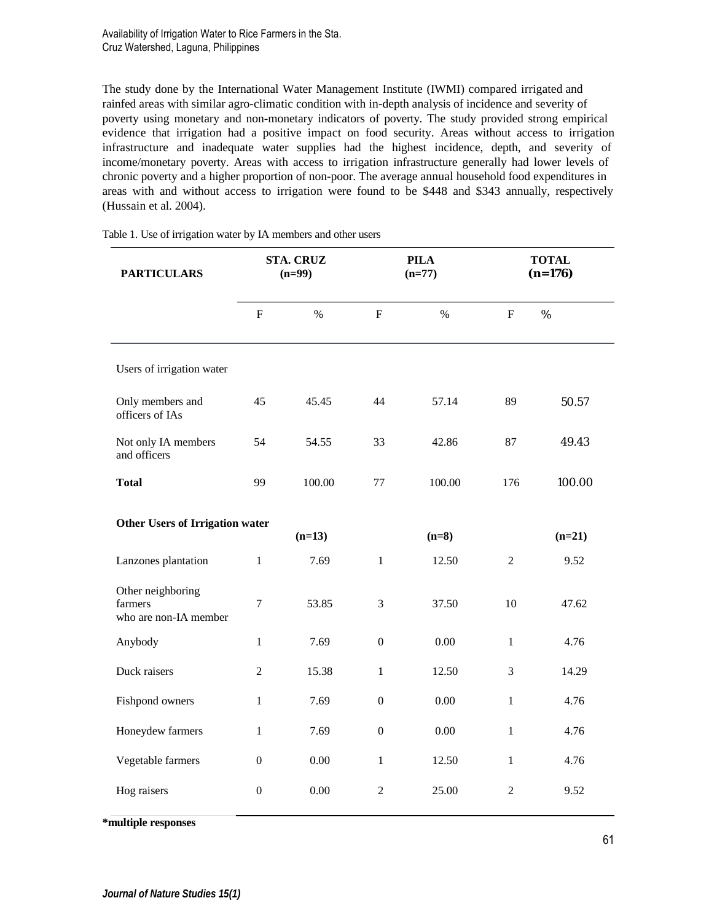Availability of Irrigation Water to Rice Farmers in the Sta. Cruz Watershed, Laguna, Philippines

The study done by the International Water Management Institute (IWMI) compared irrigated and rainfed areas with similar agro-climatic condition with in-depth analysis of incidence and severity of poverty using monetary and non-monetary indicators of poverty. The study provided strong empirical evidence that irrigation had a positive impact on food security. Areas without access to irrigation infrastructure and inadequate water supplies had the highest incidence, depth, and severity of income/monetary poverty. Areas with access to irrigation infrastructure generally had lower levels of chronic poverty and a higher proportion of non-poor. The average annual household food expenditures in areas with and without access to irrigation were found to be \$448 and \$343 annually, respectively (Hussain et al. 2004).

| <b>PARTICULARS</b>                                    | <b>STA. CRUZ</b><br>$(n=99)$ |        |                  | <b>PILA</b><br>$(n=77)$ | <b>TOTAL</b><br>$(n=176)$ |          |
|-------------------------------------------------------|------------------------------|--------|------------------|-------------------------|---------------------------|----------|
|                                                       | $\mathbf F$                  | $\%$   | $\mathbf{F}$     | $\frac{0}{0}$           | $\mathbf{F}$              | $\%$     |
| Users of irrigation water                             |                              |        |                  |                         |                           |          |
| Only members and<br>officers of IAs                   | 45                           | 45.45  | 44               | 57.14                   | 89                        | 50.57    |
| Not only IA members<br>and officers                   | 54                           | 54.55  | 33               | 42.86                   | 87                        | 49.43    |
| <b>Total</b>                                          | 99                           | 100.00 | 77               | 100.00                  | 176                       | 100.00   |
| Other Users of Irrigation water<br>$(n=13)$           |                              |        |                  | $(n=8)$                 |                           | $(n=21)$ |
| Lanzones plantation                                   | $\mathbf{1}$                 | 7.69   | $\mathbf{1}$     | 12.50                   | $\overline{c}$            | 9.52     |
| Other neighboring<br>farmers<br>who are non-IA member | $\overline{7}$               | 53.85  | 3                | 37.50                   | 10                        | 47.62    |
| Anybody                                               | $\mathbf{1}$                 | 7.69   | $\boldsymbol{0}$ | 0.00                    | $\mathbf{1}$              | 4.76     |
| Duck raisers                                          | 2                            | 15.38  | $\mathbf{1}$     | 12.50                   | 3                         | 14.29    |
| Fishpond owners                                       | 1                            | 7.69   | $\overline{0}$   | 0.00                    | $\mathbf{1}$              | 4.76     |
| Honeydew farmers                                      | 1                            | 7.69   | $\boldsymbol{0}$ | 0.00                    | $\mathbf{1}$              | 4.76     |
| Vegetable farmers                                     | $\overline{0}$               | 0.00   | $\mathbf{1}$     | 12.50                   | $\mathbf{1}$              | 4.76     |
| Hog raisers                                           | $\boldsymbol{0}$             | 0.00   | $\overline{c}$   | 25.00                   | $\overline{c}$            | 9.52     |

Table 1. Use of irrigation water by IA members and other users

**\*multiple responses**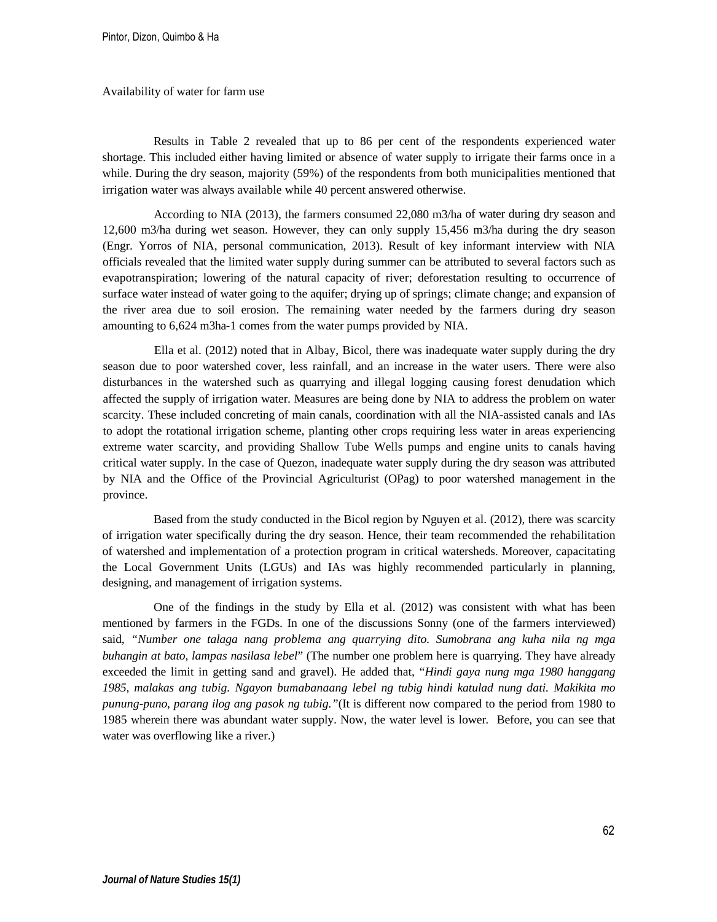#### Availability of water for farm use

Results in Table 2 revealed that up to 86 per cent of the respondents experienced water shortage. This included either having limited or absence of water supply to irrigate their farms once in a while. During the dry season, majority (59%) of the respondents from both municipalities mentioned that irrigation water was always available while 40 percent answered otherwise.

According to NIA (2013), the farmers consumed 22,080 m3/ha of water during dry season and 12,600 m3/ha during wet season. However, they can only supply 15,456 m3/ha during the dry season (Engr. Yorros of NIA, personal communication, 2013). Result of key informant interview with NIA officials revealed that the limited water supply during summer can be attributed to several factors such as evapotranspiration; lowering of the natural capacity of river; deforestation resulting to occurrence of surface water instead of water going to the aquifer; drying up of springs; climate change; and expansion of the river area due to soil erosion. The remaining water needed by the farmers during dry season amounting to 6,624 m3ha-1 comes from the water pumps provided by NIA.

Ella et al. (2012) noted that in Albay, Bicol, there was inadequate water supply during the dry season due to poor watershed cover, less rainfall, and an increase in the water users. There were also disturbances in the watershed such as quarrying and illegal logging causing forest denudation which affected the supply of irrigation water. Measures are being done by NIA to address the problem on water scarcity. These included concreting of main canals, coordination with all the NIA-assisted canals and IAs to adopt the rotational irrigation scheme, planting other crops requiring less water in areas experiencing extreme water scarcity, and providing Shallow Tube Wells pumps and engine units to canals having critical water supply. In the case of Quezon, inadequate water supply during the dry season was attributed by NIA and the Office of the Provincial Agriculturist (OPag) to poor watershed management in the province.

Based from the study conducted in the Bicol region by Nguyen et al. (2012), there was scarcity of irrigation water specifically during the dry season. Hence, their team recommended the rehabilitation of watershed and implementation of a protection program in critical watersheds. Moreover, capacitating the Local Government Units (LGUs) and IAs was highly recommended particularly in planning, designing, and management of irrigation systems.

One of the findings in the study by Ella et al. (2012) was consistent with what has been mentioned by farmers in the FGDs. In one of the discussions Sonny (one of the farmers interviewed) said, *"Number one talaga nang problema ang quarrying dito. Sumobrana ang kuha nila ng mga buhangin at bato, lampas nasilasa lebel*" (The number one problem here is quarrying. They have already exceeded the limit in getting sand and gravel). He added that, "*Hindi gaya nung mga 1980 hanggang 1985, malakas ang tubig. Ngayon bumabanaang lebel ng tubig hindi katulad nung dati. Makikita mo punung-puno, parang ilog ang pasok ng tubig."*(It is different now compared to the period from 1980 to 1985 wherein there was abundant water supply. Now, the water level is lower*.* Before, you can see that water was overflowing like a river.)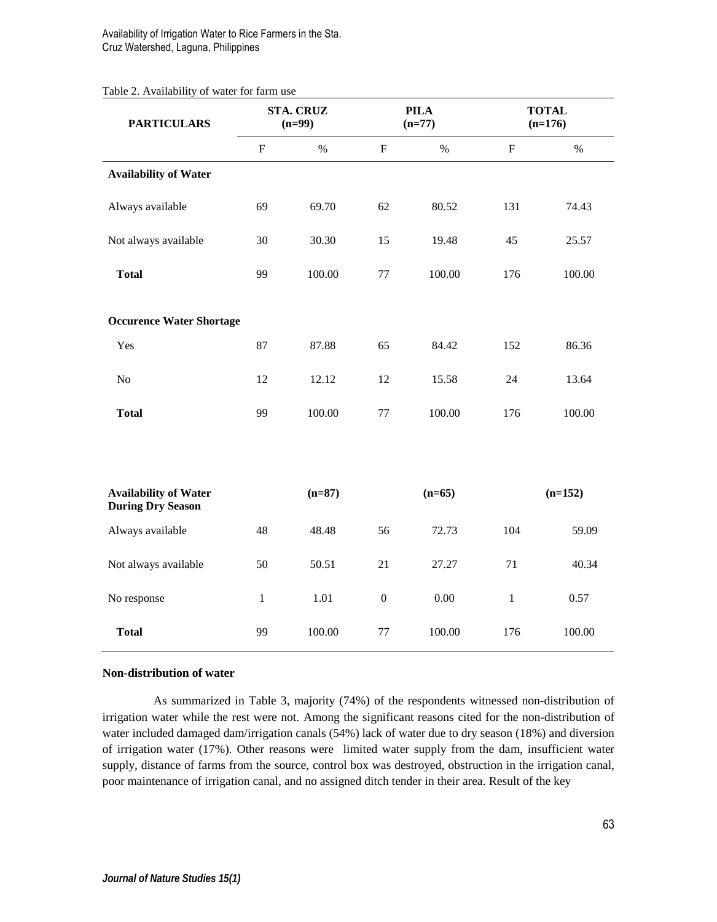# Availability of Irrigation Water to Rice Farmers in the Sta. Cruz Watershed, Laguna, Philippines

### Table 2. Availability of water for farm use

| <b>PARTICULARS</b>                                       | <b>STA. CRUZ</b><br>$(n=99)$ |          |              | <b>PILA</b><br>$(n=77)$ | <b>TOTAL</b><br>$(n=176)$ |           |  |
|----------------------------------------------------------|------------------------------|----------|--------------|-------------------------|---------------------------|-----------|--|
|                                                          | $\mathbf F$                  | $\%$     | $\mathbf F$  | $\%$                    | $\mathbf{F}$              | $\%$      |  |
| <b>Availability of Water</b>                             |                              |          |              |                         |                           |           |  |
| Always available                                         | 69                           | 69.70    | 62           | 80.52                   | 131                       | 74.43     |  |
| Not always available                                     | 30                           | 30.30    | 15           | 19.48                   | 45                        | 25.57     |  |
| <b>Total</b>                                             | 99                           | 100.00   | 77           | 100.00                  | 176                       | 100.00    |  |
| <b>Occurence Water Shortage</b>                          |                              |          |              |                         |                           |           |  |
| Yes                                                      | 87                           | 87.88    | 65           | 84.42                   | 152                       | 86.36     |  |
| No                                                       | 12                           | 12.12    | 12           | 15.58                   | 24                        | 13.64     |  |
| <b>Total</b>                                             | 99                           | 100.00   | 77           | 100.00                  | 176                       | 100.00    |  |
|                                                          |                              |          |              |                         |                           |           |  |
| <b>Availability of Water</b><br><b>During Dry Season</b> |                              | $(n=87)$ |              | $(n=65)$                |                           | $(n=152)$ |  |
| Always available                                         | 48                           | 48.48    | 56           | 72.73                   | 104                       | 59.09     |  |
| Not always available                                     | 50                           | 50.51    | 21           | 27.27                   | 71                        | 40.34     |  |
| No response                                              | $\mathbf{1}$                 | 1.01     | $\mathbf{0}$ | 0.00                    | 1                         | 0.57      |  |
| <b>Total</b>                                             | 99                           | 100.00   | 77           | 100.00                  | 176                       | 100.00    |  |

## **Non-distribution of water**

As summarized in Table 3, majority (74%) of the respondents witnessed non-distribution of irrigation water while the rest were not. Among the significant reasons cited for the non-distribution of water included damaged dam/irrigation canals (54%) lack of water due to dry season (18%) and diversion of irrigation water (17%). Other reasons were limited water supply from the dam, insufficient water supply, distance of farms from the source, control box was destroyed, obstruction in the irrigation canal, poor maintenance of irrigation canal, and no assigned ditch tender in their area. Result of the key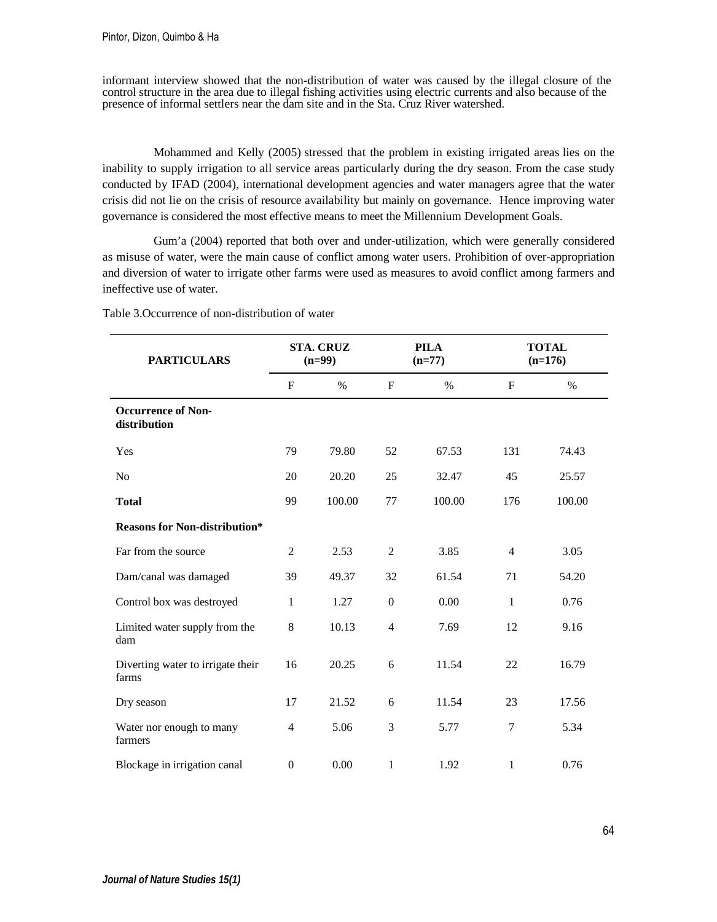informant interview showed that the non-distribution of water was caused by the illegal closure of the control structure in the area due to illegal fishing activities using electric currents and also because of the presence of informal settlers near the dam site and in the Sta. Cruz River watershed.

Mohammed and Kelly (2005) stressed that the problem in existing irrigated areas lies on the inability to supply irrigation to all service areas particularly during the dry season. From the case study conducted by IFAD (2004), international development agencies and water managers agree that the water crisis did not lie on the crisis of resource availability but mainly on governance. Hence improving water governance is considered the most effective means to meet the Millennium Development Goals.

Gum'a (2004) reported that both over and under-utilization, which were generally considered as misuse of water, were the main cause of conflict among water users. Prohibition of over-appropriation and diversion of water to irrigate other farms were used as measures to avoid conflict among farmers and ineffective use of water.

| <b>PARTICULARS</b>                         |                  | <b>STA. CRUZ</b><br>$(n=99)$ |                | <b>PILA</b><br>$(n=77)$ | <b>TOTAL</b><br>$(n=176)$ |        |
|--------------------------------------------|------------------|------------------------------|----------------|-------------------------|---------------------------|--------|
|                                            | $\mathbf F$      | $\%$                         | F              | $\%$                    | F                         | $\%$   |
| <b>Occurrence of Non-</b><br>distribution  |                  |                              |                |                         |                           |        |
| Yes                                        | 79               | 79.80                        | 52             | 67.53                   | 131                       | 74.43  |
| N <sub>o</sub>                             | 20               | 20.20                        | 25             | 32.47                   | 45                        | 25.57  |
| <b>Total</b>                               | 99               | 100.00                       | 77             | 100.00                  | 176                       | 100.00 |
| <b>Reasons for Non-distribution*</b>       |                  |                              |                |                         |                           |        |
| Far from the source                        | $\overline{2}$   | 2.53                         | $\overline{2}$ | 3.85                    | $\overline{4}$            | 3.05   |
| Dam/canal was damaged                      | 39               | 49.37                        | 32             | 61.54                   | 71                        | 54.20  |
| Control box was destroyed                  | $\mathbf{1}$     | 1.27                         | $\overline{0}$ | 0.00                    | $\mathbf{1}$              | 0.76   |
| Limited water supply from the<br>dam       | 8                | 10.13                        | $\overline{4}$ | 7.69                    | 12                        | 9.16   |
| Diverting water to irrigate their<br>farms | 16               | 20.25                        | 6              | 11.54                   | 22                        | 16.79  |
| Dry season                                 | 17               | 21.52                        | 6              | 11.54                   | 23                        | 17.56  |
| Water nor enough to many<br>farmers        | $\overline{4}$   | 5.06                         | 3              | 5.77                    | 7                         | 5.34   |
| Blockage in irrigation canal               | $\boldsymbol{0}$ | 0.00                         | 1              | 1.92                    | 1                         | 0.76   |

Table 3.Occurrence of non-distribution of water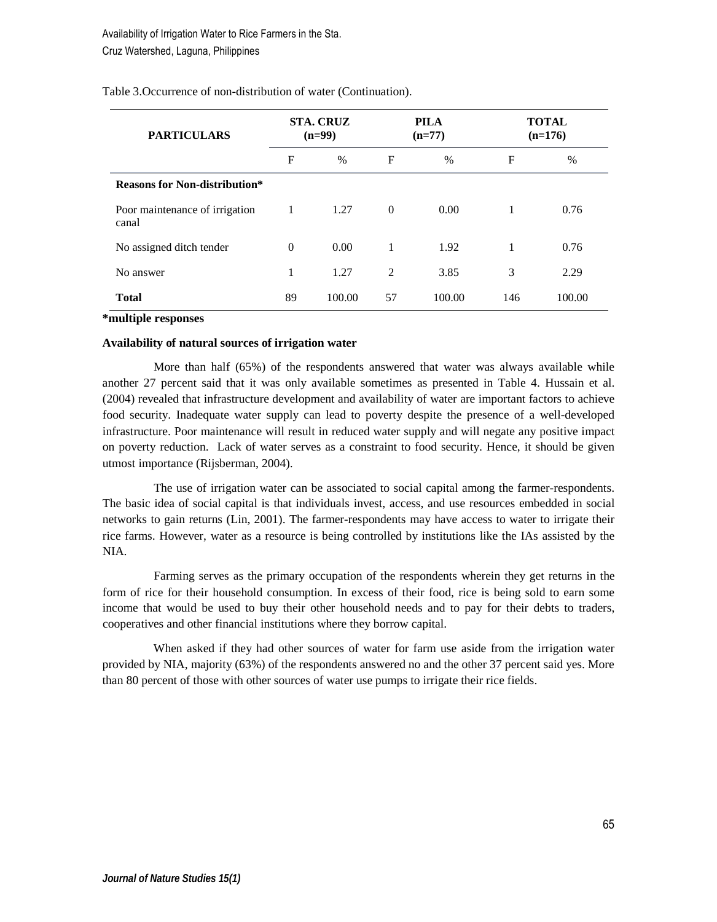| <b>PARTICULARS</b>                      | <b>STA. CRUZ</b><br><b>PILA</b><br>$(n=99)$<br>$(n=77)$ |               | <b>TOTAL</b><br>$(n=176)$ |               |     |        |
|-----------------------------------------|---------------------------------------------------------|---------------|---------------------------|---------------|-----|--------|
|                                         | F                                                       | $\frac{0}{0}$ | F                         | $\frac{0}{0}$ | F   | $\%$   |
| <b>Reasons for Non-distribution*</b>    |                                                         |               |                           |               |     |        |
| Poor maintenance of irrigation<br>canal | 1                                                       | 1.27          | $\theta$                  | 0.00          | 1   | 0.76   |
| No assigned ditch tender                | $\overline{0}$                                          | 0.00          | 1                         | 1.92          | 1   | 0.76   |
| No answer                               | 1                                                       | 1.27          | $\overline{2}$            | 3.85          | 3   | 2.29   |
| Total                                   | 89                                                      | 100.00        | 57                        | 100.00        | 146 | 100.00 |

Table 3.Occurrence of non-distribution of water (Continuation).

### **\*multiple responses**

### **Availability of natural sources of irrigation water**

More than half (65%) of the respondents answered that water was always available while another 27 percent said that it was only available sometimes as presented in Table 4. Hussain et al. (2004) revealed that infrastructure development and availability of water are important factors to achieve food security. Inadequate water supply can lead to poverty despite the presence of a well-developed infrastructure. Poor maintenance will result in reduced water supply and will negate any positive impact on poverty reduction. Lack of water serves as a constraint to food security. Hence, it should be given utmost importance (Rijsberman, 2004).

The use of irrigation water can be associated to social capital among the farmer-respondents. The basic idea of social capital is that individuals invest, access, and use resources embedded in social networks to gain returns (Lin, 2001). The farmer-respondents may have access to water to irrigate their rice farms. However, water as a resource is being controlled by institutions like the IAs assisted by the NIA.

Farming serves as the primary occupation of the respondents wherein they get returns in the form of rice for their household consumption. In excess of their food, rice is being sold to earn some income that would be used to buy their other household needs and to pay for their debts to traders, cooperatives and other financial institutions where they borrow capital.

When asked if they had other sources of water for farm use aside from the irrigation water provided by NIA, majority (63%) of the respondents answered no and the other 37 percent said yes. More than 80 percent of those with other sources of water use pumps to irrigate their rice fields.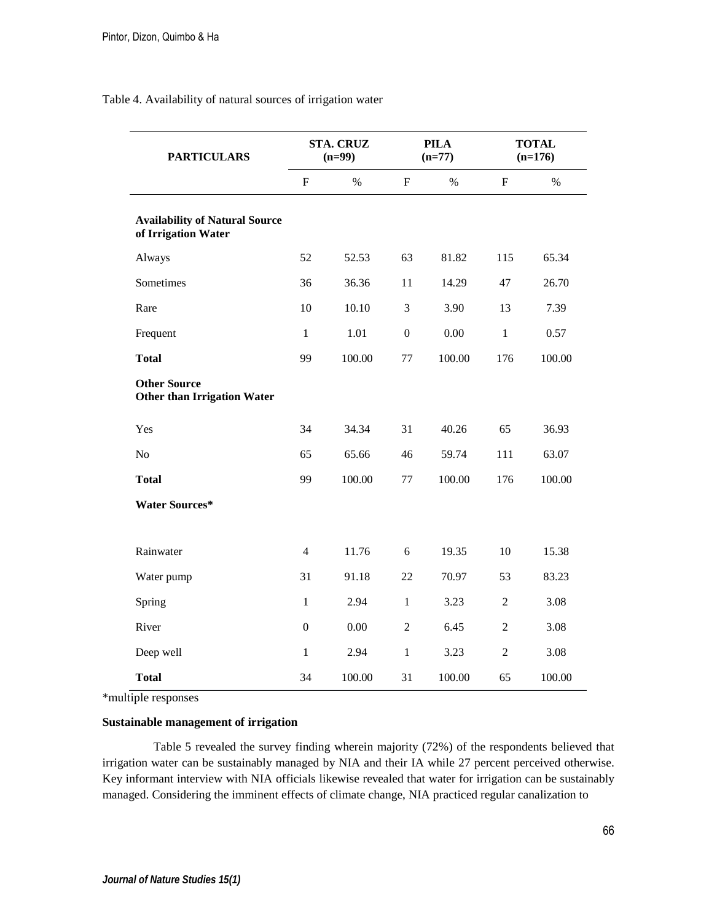| <b>PARTICULARS</b>                                           | <b>STA. CRUZ</b><br>$(n=99)$ |        | <b>PILA</b><br>$(n=77)$ |        | <b>TOTAL</b><br>$(n=176)$ |        |
|--------------------------------------------------------------|------------------------------|--------|-------------------------|--------|---------------------------|--------|
|                                                              | $\mathbf F$                  | $\%$   | $\mathbf F$             | $\%$   | F                         | $\%$   |
| <b>Availability of Natural Source</b><br>of Irrigation Water |                              |        |                         |        |                           |        |
| Always                                                       | 52                           | 52.53  | 63                      | 81.82  | 115                       | 65.34  |
| Sometimes                                                    | 36                           | 36.36  | 11                      | 14.29  | 47                        | 26.70  |
| Rare                                                         | 10                           | 10.10  | 3                       | 3.90   | 13                        | 7.39   |
| Frequent                                                     | $\mathbf{1}$                 | 1.01   | $\overline{0}$          | 0.00   | $\mathbf{1}$              | 0.57   |
| <b>Total</b>                                                 | 99                           | 100.00 | 77                      | 100.00 | 176                       | 100.00 |
| <b>Other Source</b><br><b>Other than Irrigation Water</b>    |                              |        |                         |        |                           |        |
| Yes                                                          | 34                           | 34.34  | 31                      | 40.26  | 65                        | 36.93  |
| N <sub>o</sub>                                               | 65                           | 65.66  | 46                      | 59.74  | 111                       | 63.07  |
| <b>Total</b>                                                 | 99                           | 100.00 | 77                      | 100.00 | 176                       | 100.00 |
| <b>Water Sources*</b>                                        |                              |        |                         |        |                           |        |
| Rainwater                                                    | $\overline{4}$               | 11.76  | 6                       | 19.35  | 10                        | 15.38  |
| Water pump                                                   | 31                           | 91.18  | 22                      | 70.97  | 53                        | 83.23  |
| Spring                                                       | $\mathbf{1}$                 | 2.94   | $\mathbf{1}$            | 3.23   | $\overline{c}$            | 3.08   |
| River                                                        | $\mathbf{0}$                 | 0.00   | $\mathbf{2}$            | 6.45   | $\mathbf{2}$              | 3.08   |
| Deep well                                                    | $\mathbf{1}$                 | 2.94   | $\mathbf{1}$            | 3.23   | $\overline{c}$            | 3.08   |
| <b>Total</b>                                                 | 34                           | 100.00 | 31                      | 100.00 | 65                        | 100.00 |

Table 4. Availability of natural sources of irrigation water

\*multiple responses

#### **Sustainable management of irrigation**

Table 5 revealed the survey finding wherein majority (72%) of the respondents believed that irrigation water can be sustainably managed by NIA and their IA while 27 percent perceived otherwise. Key informant interview with NIA officials likewise revealed that water for irrigation can be sustainably managed. Considering the imminent effects of climate change, NIA practiced regular canalization to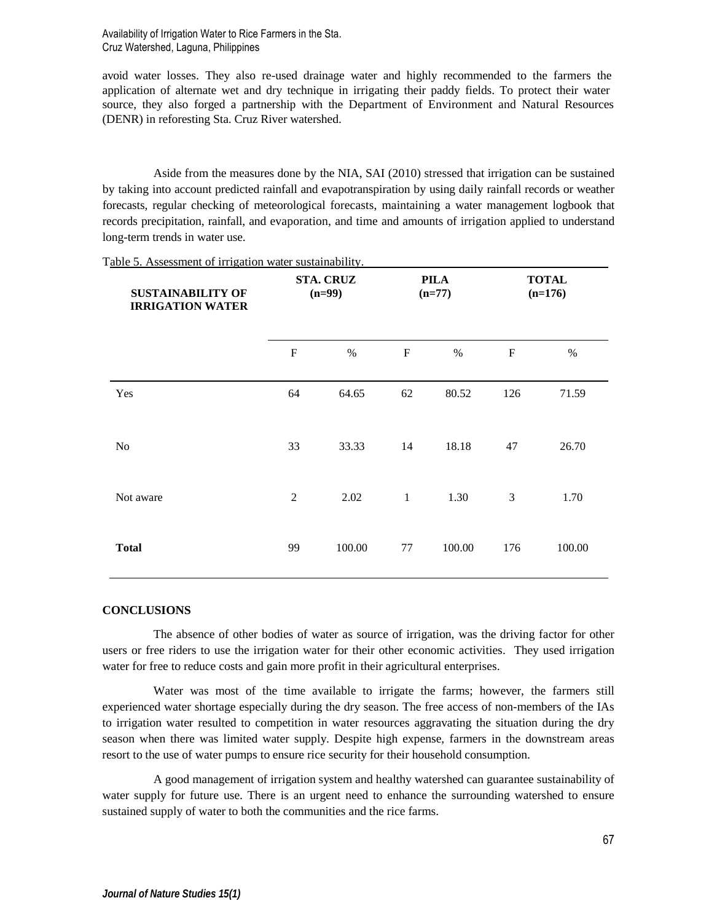Availability of Irrigation Water to Rice Farmers in the Sta. Cruz Watershed, Laguna, Philippines

avoid water losses. They also re-used drainage water and highly recommended to the farmers the application of alternate wet and dry technique in irrigating their paddy fields. To protect their water source, they also forged a partnership with the Department of Environment and Natural Resources (DENR) in reforesting Sta. Cruz River watershed.

Aside from the measures done by the NIA, SAI (2010) stressed that irrigation can be sustained by taking into account predicted rainfall and evapotranspiration by using daily rainfall records or weather forecasts, regular checking of meteorological forecasts, maintaining a water management logbook that records precipitation, rainfall, and evaporation, and time and amounts of irrigation applied to understand long-term trends in water use.

| <b>SUSTAINABILITY OF</b><br><b>IRRIGATION WATER</b> | <b>STA. CRUZ</b><br>$(n=99)$ |        | <b>PILA</b><br>$(n=77)$ |        | <b>TOTAL</b><br>$(n=176)$ |        |
|-----------------------------------------------------|------------------------------|--------|-------------------------|--------|---------------------------|--------|
|                                                     | $\mathbf F$                  | $\%$   | $\mathbf F$             | $\%$   | $\mathbf F$               | $\%$   |
| Yes                                                 | 64                           | 64.65  | 62                      | 80.52  | 126                       | 71.59  |
| No                                                  | 33                           | 33.33  | 14                      | 18.18  | 47                        | 26.70  |
| Not aware                                           | 2                            | 2.02   | $\mathbf{1}$            | 1.30   | 3                         | 1.70   |
| <b>Total</b>                                        | 99                           | 100.00 | 77                      | 100.00 | 176                       | 100.00 |

Table 5. Assessment of irrigation water sustainability.

#### **CONCLUSIONS**

The absence of other bodies of water as source of irrigation, was the driving factor for other users or free riders to use the irrigation water for their other economic activities. They used irrigation water for free to reduce costs and gain more profit in their agricultural enterprises.

Water was most of the time available to irrigate the farms; however, the farmers still experienced water shortage especially during the dry season. The free access of non-members of the IAs to irrigation water resulted to competition in water resources aggravating the situation during the dry season when there was limited water supply. Despite high expense, farmers in the downstream areas resort to the use of water pumps to ensure rice security for their household consumption.

A good management of irrigation system and healthy watershed can guarantee sustainability of water supply for future use. There is an urgent need to enhance the surrounding watershed to ensure sustained supply of water to both the communities and the rice farms.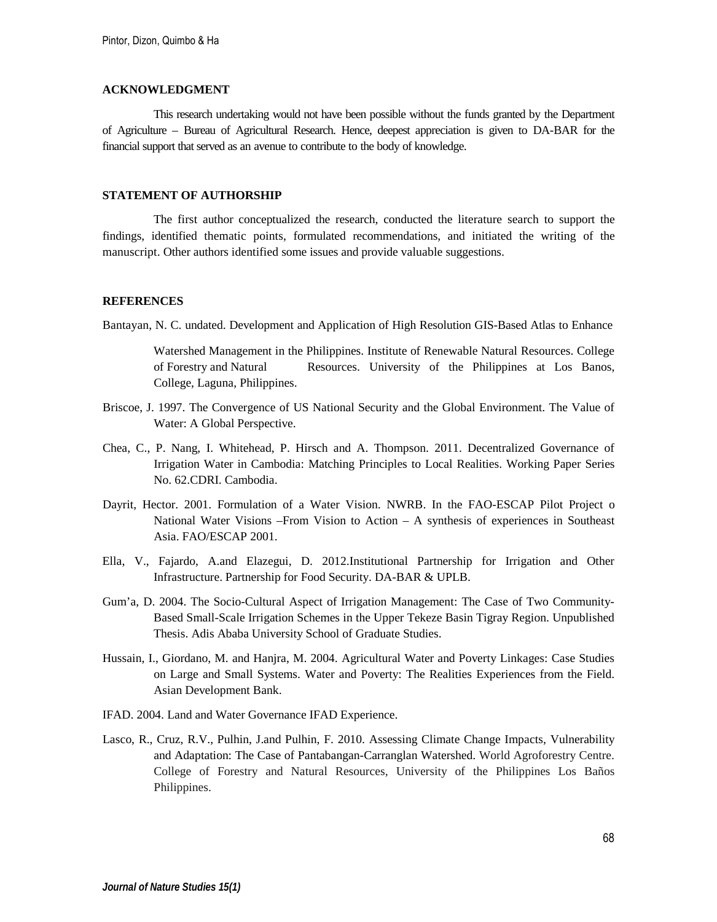### **ACKNOWLEDGMENT**

This research undertaking would not have been possible without the funds granted by the Department of Agriculture – Bureau of Agricultural Research. Hence, deepest appreciation is given to DA-BAR for the financial support that served as an avenue to contribute to the body of knowledge.

# **STATEMENT OF AUTHORSHIP**

The first author conceptualized the research, conducted the literature search to support the findings, identified thematic points, formulated recommendations, and initiated the writing of the manuscript. Other authors identified some issues and provide valuable suggestions.

### **REFERENCES**

Bantayan, N. C. undated. Development and Application of High Resolution GIS-Based Atlas to Enhance

Watershed Management in the Philippines. Institute of Renewable Natural Resources. College of Forestry and Natural Resources. University of the Philippines at Los Banos, College, Laguna, Philippines.

- Briscoe, J. 1997. The Convergence of US National Security and the Global Environment. The Value of Water: A Global Perspective.
- Chea, C., P. Nang, I. Whitehead, P. Hirsch and A. Thompson. 2011. Decentralized Governance of Irrigation Water in Cambodia: Matching Principles to Local Realities. Working Paper Series No. 62.CDRI. Cambodia.
- Dayrit, Hector. 2001. Formulation of a Water Vision. NWRB. In the FAO-ESCAP Pilot Project o National Water Visions –From Vision to Action – A synthesis of experiences in Southeast Asia. FAO/ESCAP 2001.
- Ella, V., Fajardo, A.and Elazegui, D. 2012.Institutional Partnership for Irrigation and Other Infrastructure. Partnership for Food Security. DA-BAR & UPLB.
- Gum'a, D. 2004. The Socio-Cultural Aspect of Irrigation Management: The Case of Two Community-Based Small-Scale Irrigation Schemes in the Upper Tekeze Basin Tigray Region. Unpublished Thesis. Adis Ababa University School of Graduate Studies.
- Hussain, I., Giordano, M. and Hanjra, M. 2004. Agricultural Water and Poverty Linkages: Case Studies on Large and Small Systems. Water and Poverty: The Realities Experiences from the Field. Asian Development Bank.
- IFAD. 2004. Land and Water Governance IFAD Experience.
- Lasco, R., Cruz, R.V., Pulhin, J.and Pulhin, F. 2010. Assessing Climate Change Impacts, Vulnerability and Adaptation: The Case of Pantabangan-Carranglan Watershed. World Agroforestry Centre. College of Forestry and Natural Resources, University of the Philippines Los Baños Philippines.